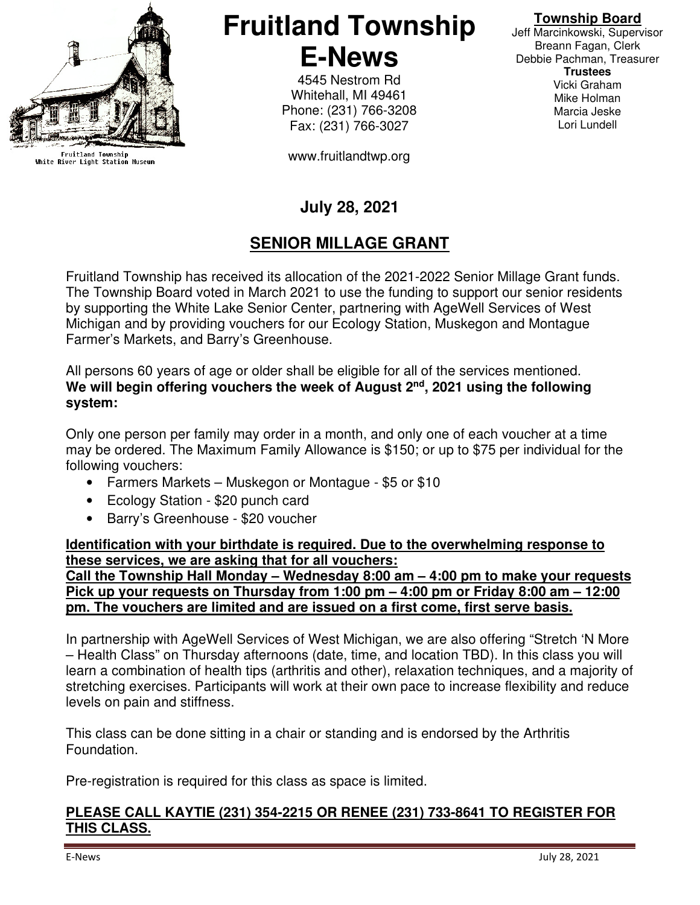

Fruitland Township<br>White River Light Station Museum

**Fruitland Township E-News** 

> 4545 Nestrom Rd Whitehall, MI 49461 Phone: (231) 766-3208 Fax: (231) 766-3027

www.fruitlandtwp.org

### **Township Board**

Jeff Marcinkowski, Supervisor Breann Fagan, Clerk Debbie Pachman, Treasurer **Trustees**  Vicki Graham Mike Holman Marcia Jeske Lori Lundell

# **July 28, 2021**

# **SENIOR MILLAGE GRANT**

Fruitland Township has received its allocation of the 2021-2022 Senior Millage Grant funds. The Township Board voted in March 2021 to use the funding to support our senior residents by supporting the White Lake Senior Center, partnering with AgeWell Services of West Michigan and by providing vouchers for our Ecology Station, Muskegon and Montague Farmer's Markets, and Barry's Greenhouse.

All persons 60 years of age or older shall be eligible for all of the services mentioned. We will begin offering vouchers the week of August 2<sup>nd</sup>, 2021 using the following **system:** 

Only one person per family may order in a month, and only one of each voucher at a time may be ordered. The Maximum Family Allowance is \$150; or up to \$75 per individual for the following vouchers:

- Farmers Markets Muskegon or Montague \$5 or \$10
- Ecology Station \$20 punch card
- Barry's Greenhouse \$20 voucher

**Identification with your birthdate is required. Due to the overwhelming response to these services, we are asking that for all vouchers: Call the Township Hall Monday – Wednesday 8:00 am – 4:00 pm to make your requests** 

**Pick up your requests on Thursday from 1:00 pm – 4:00 pm or Friday 8:00 am – 12:00 pm. The vouchers are limited and are issued on a first come, first serve basis.** 

In partnership with AgeWell Services of West Michigan, we are also offering "Stretch 'N More – Health Class" on Thursday afternoons (date, time, and location TBD). In this class you will learn a combination of health tips (arthritis and other), relaxation techniques, and a majority of stretching exercises. Participants will work at their own pace to increase flexibility and reduce levels on pain and stiffness.

This class can be done sitting in a chair or standing and is endorsed by the Arthritis Foundation.

Pre-registration is required for this class as space is limited.

#### **PLEASE CALL KAYTIE (231) 354-2215 OR RENEE (231) 733-8641 TO REGISTER FOR THIS CLASS.**